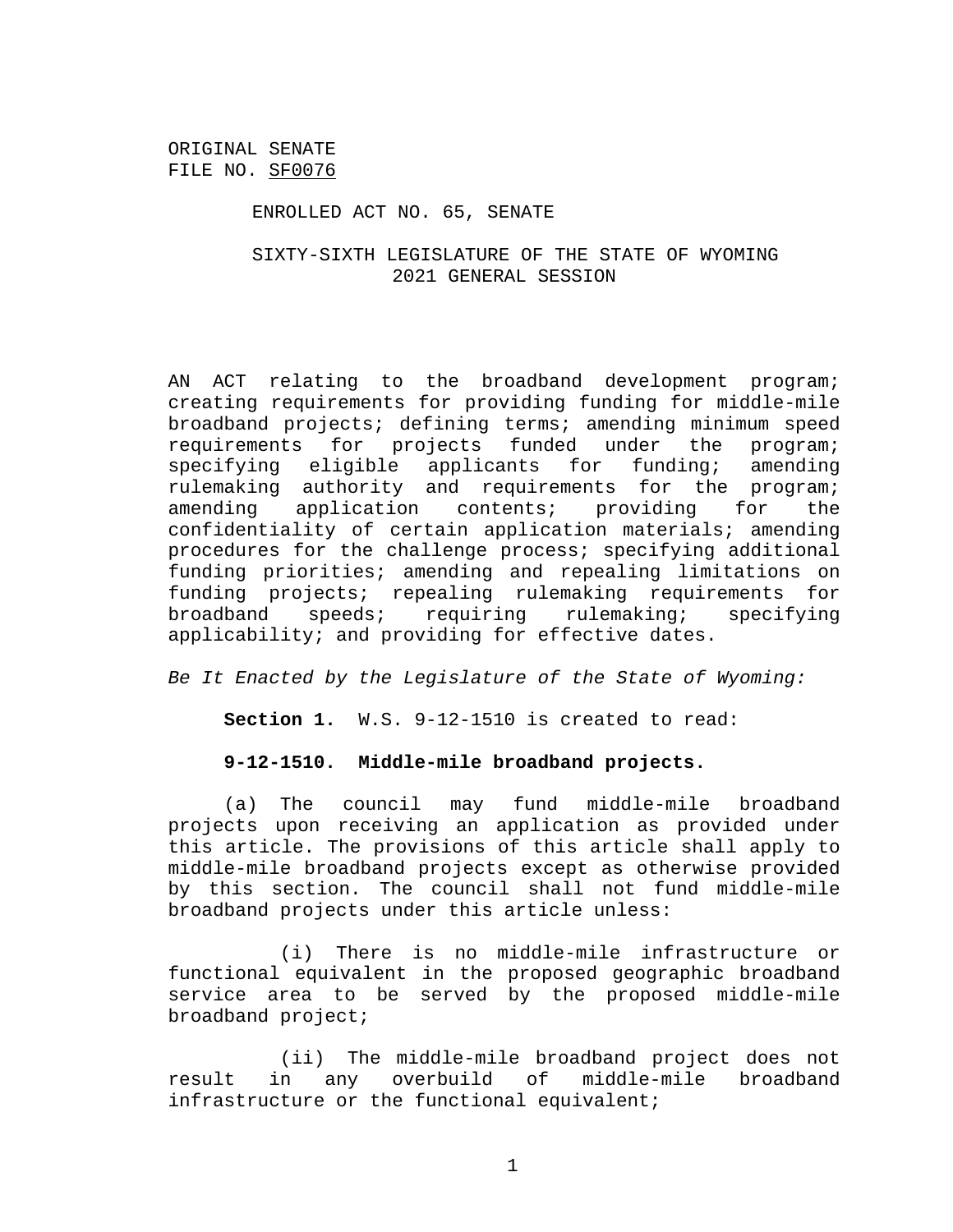#### ENROLLED ACT NO. 65, SENATE

## SIXTY-SIXTH LEGISLATURE OF THE STATE OF WYOMING 2021 GENERAL SESSION

AN ACT relating to the broadband development program; creating requirements for providing funding for middle-mile broadband projects; defining terms; amending minimum speed requirements for projects funded under the program; specifying eligible applicants for funding; amending rulemaking authority and requirements for the program; amending application contents; providing for the confidentiality of certain application materials; amending procedures for the challenge process; specifying additional funding priorities; amending and repealing limitations on funding projects; repealing rulemaking requirements for broadband speeds; requiring rulemaking; specifying applicability; and providing for effective dates.

*Be It Enacted by the Legislature of the State of Wyoming:*

**Section 1.** W.S. 9-12-1510 is created to read:

### **9-12-1510. Middle-mile broadband projects.**

(a) The council may fund middle-mile broadband projects upon receiving an application as provided under this article. The provisions of this article shall apply to middle-mile broadband projects except as otherwise provided by this section. The council shall not fund middle-mile broadband projects under this article unless:

(i) There is no middle-mile infrastructure or functional equivalent in the proposed geographic broadband service area to be served by the proposed middle-mile broadband project;

(ii) The middle-mile broadband project does not result in any overbuild of middle-mile broadband infrastructure or the functional equivalent;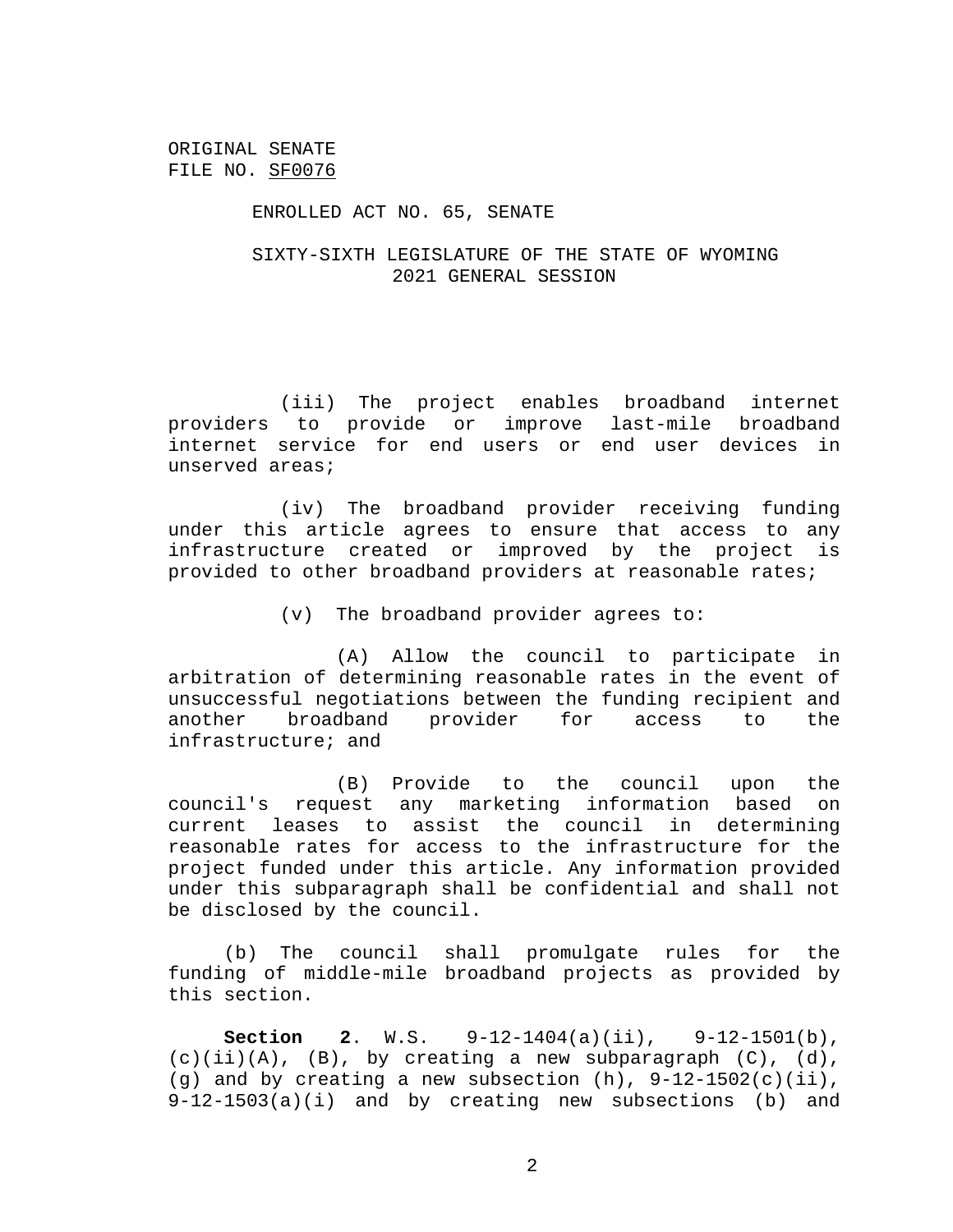#### ENROLLED ACT NO. 65, SENATE

## SIXTY-SIXTH LEGISLATURE OF THE STATE OF WYOMING 2021 GENERAL SESSION

(iii) The project enables broadband internet providers to provide or improve last-mile broadband internet service for end users or end user devices in unserved areas;

(iv) The broadband provider receiving funding under this article agrees to ensure that access to any infrastructure created or improved by the project is provided to other broadband providers at reasonable rates;

(v) The broadband provider agrees to:

(A) Allow the council to participate in arbitration of determining reasonable rates in the event of unsuccessful negotiations between the funding recipient and another broadband provider for access to the infrastructure; and

(B) Provide to the council upon the council's request any marketing information based on current leases to assist the council in determining reasonable rates for access to the infrastructure for the project funded under this article. Any information provided under this subparagraph shall be confidential and shall not be disclosed by the council.

(b) The council shall promulgate rules for the funding of middle-mile broadband projects as provided by this section.

**Section 2**. W.S. 9-12-1404(a)(ii), 9-12-1501(b),  $(c)(ii)(A)$ ,  $(B)$ , by creating a new subparagraph  $(C)$ ,  $(d)$ , (g) and by creating a new subsection  $(h)$ ,  $9-12-1502(c)(ii)$ , 9-12-1503(a)(i) and by creating new subsections (b) and

2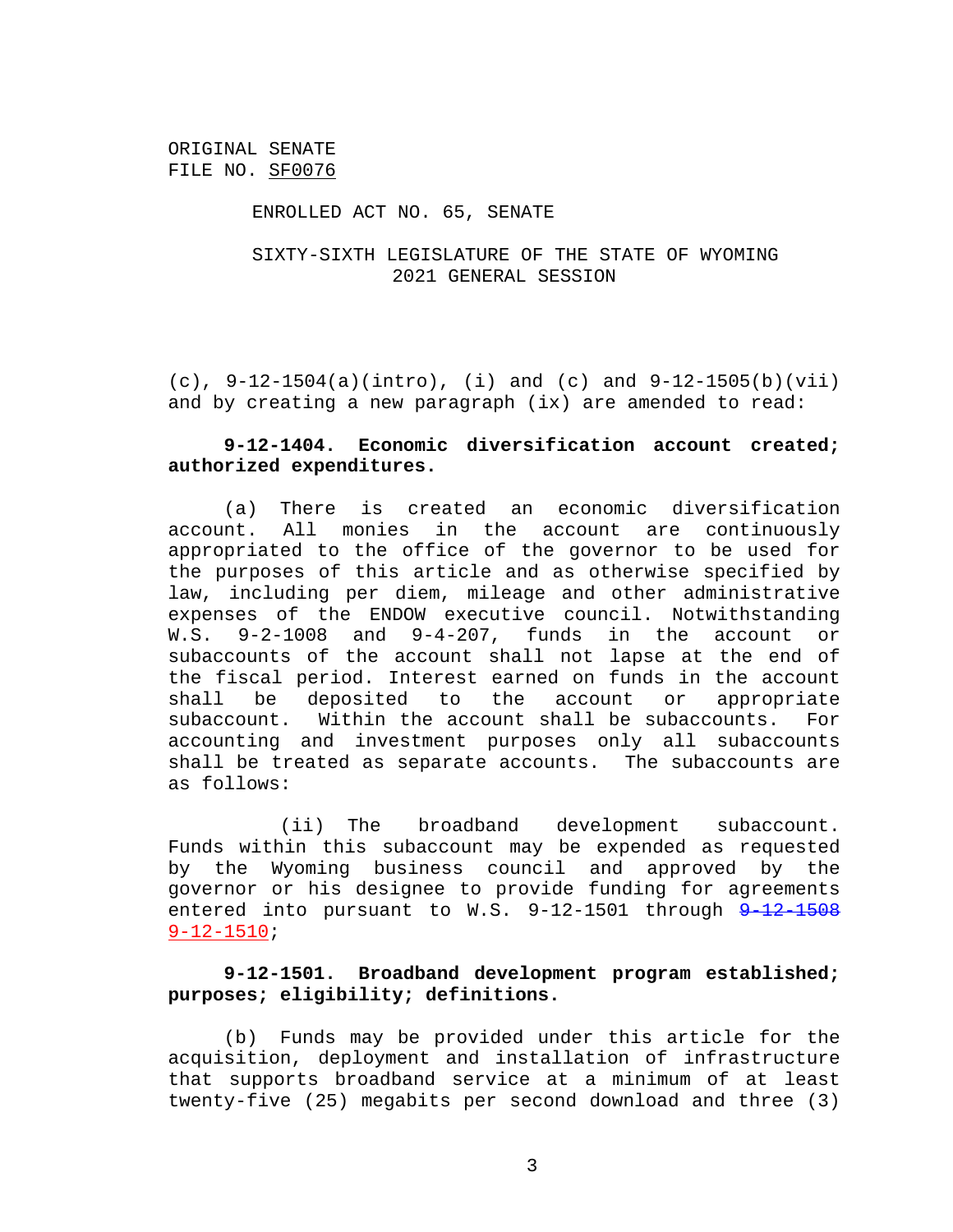### ENROLLED ACT NO. 65, SENATE

## SIXTY-SIXTH LEGISLATURE OF THE STATE OF WYOMING 2021 GENERAL SESSION

(c),  $9-12-1504(a)$ (intro), (i) and (c) and  $9-12-1505(b)$ (vii) and by creating a new paragraph (ix) are amended to read:

# **9-12-1404. Economic diversification account created; authorized expenditures.**

(a) There is created an economic diversification account. All monies in the account are continuously appropriated to the office of the governor to be used for the purposes of this article and as otherwise specified by law, including per diem, mileage and other administrative expenses of the ENDOW executive council. Notwithstanding W.S. 9-2-1008 and 9-4-207, funds in the account or subaccounts of the account shall not lapse at the end of the fiscal period. Interest earned on funds in the account shall be deposited to the account or appropriate subaccount. Within the account shall be subaccounts. For accounting and investment purposes only all subaccounts shall be treated as separate accounts. The subaccounts are as follows:

(ii) The broadband development subaccount. Funds within this subaccount may be expended as requested by the Wyoming business council and approved by the governor or his designee to provide funding for agreements entered into pursuant to  $W.S. 9-12-1501$  through  $9-12-1508$ 9-12-1510;

## **9-12-1501. Broadband development program established; purposes; eligibility; definitions.**

(b) Funds may be provided under this article for the acquisition, deployment and installation of infrastructure that supports broadband service at a minimum of at least twenty-five (25) megabits per second download and three (3)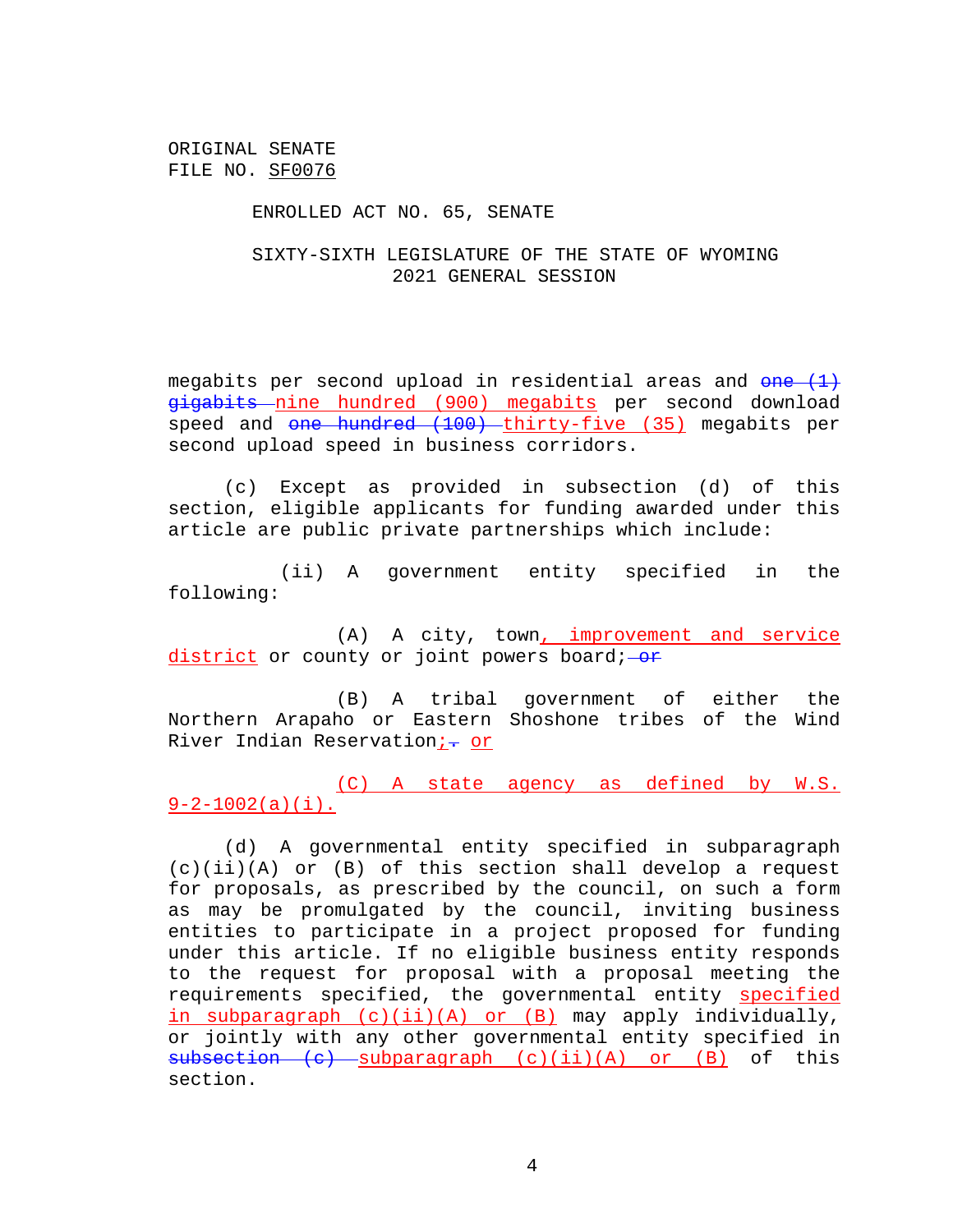#### ENROLLED ACT NO. 65, SENATE

# SIXTY-SIXTH LEGISLATURE OF THE STATE OF WYOMING 2021 GENERAL SESSION

megabits per second upload in residential areas and  $\theta$ ne  $(1)$ gigabits nine hundred (900) megabits per second download speed and one hundred (100) thirty-five (35) megabits per second upload speed in business corridors.

(c) Except as provided in subsection (d) of this section, eligible applicants for funding awarded under this article are public private partnerships which include:

(ii) A government entity specified in the following:

(A) A city, town, improvement and service  $district$  or county or joint powers board; $-$ or

(B) A tribal government of either the Northern Arapaho or Eastern Shoshone tribes of the Wind River Indian Reservation; - or

(C) A state agency as defined by W.S.  $9-2-1002(a)(i)$ .

(d) A governmental entity specified in subparagraph (c)(ii)(A) or (B) of this section shall develop a request for proposals, as prescribed by the council, on such a form as may be promulgated by the council, inviting business entities to participate in a project proposed for funding under this article. If no eligible business entity responds to the request for proposal with a proposal meeting the requirements specified, the governmental entity specified in subparagraph (c)(ii)(A) or (B) may apply individually, or jointly with any other governmental entity specified in  $subsection$  (c) subparagraph (c)(ii)(A) or (B) of this section.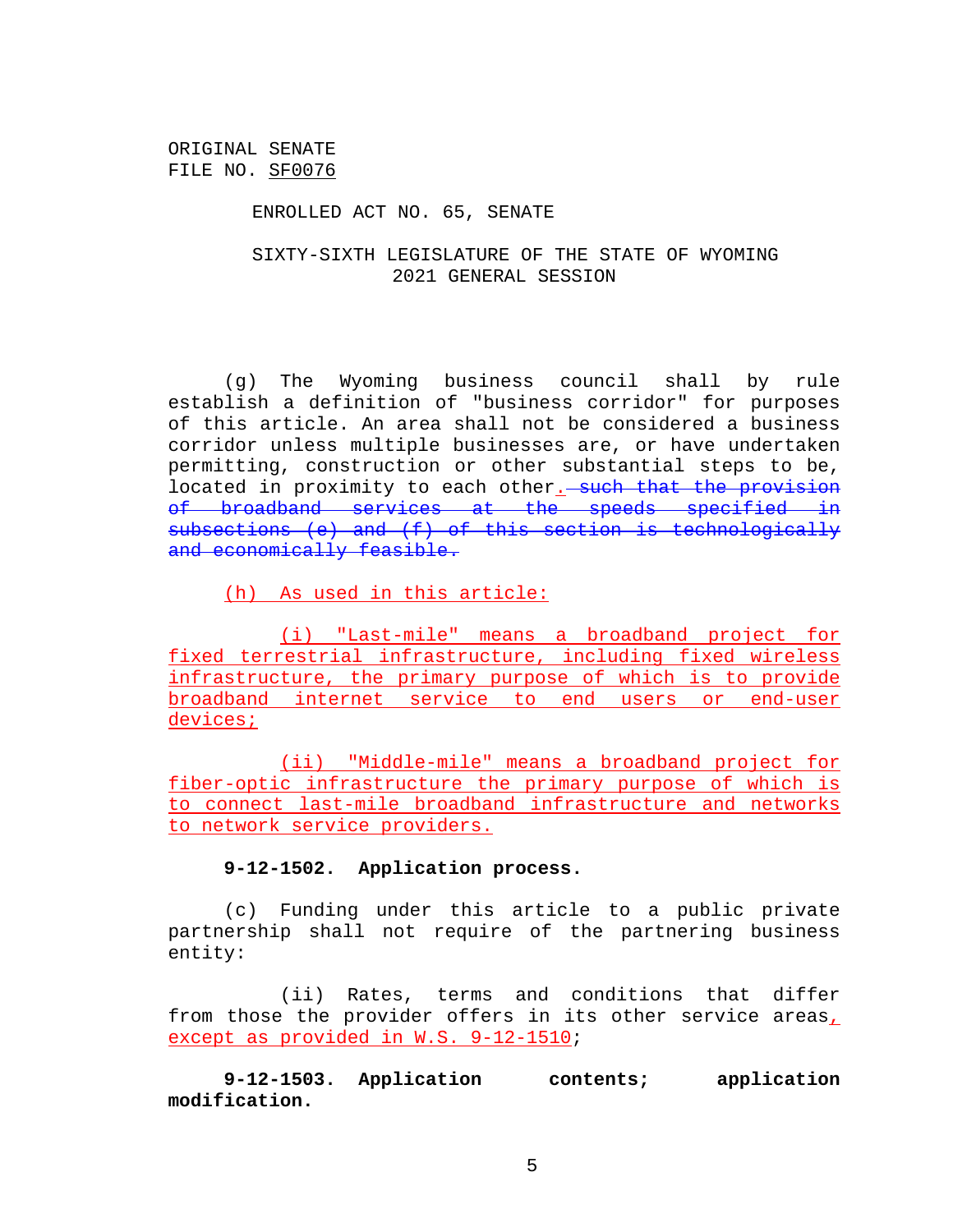### ENROLLED ACT NO. 65, SENATE

# SIXTY-SIXTH LEGISLATURE OF THE STATE OF WYOMING 2021 GENERAL SESSION

(g) The Wyoming business council shall by rule establish a definition of "business corridor" for purposes of this article. An area shall not be considered a business corridor unless multiple businesses are, or have undertaken permitting, construction or other substantial steps to be, located in proximity to each other. such that the provision of broadband services at the speeds specified in subsections (e) and (f) of this section is technologically and economically feasible.

(h) As used in this article:

(i) "Last-mile" means a broadband project for fixed terrestrial infrastructure, including fixed wireless infrastructure, the primary purpose of which is to provide broadband internet service to end users or end-user devices;

(ii) "Middle-mile" means a broadband project for fiber-optic infrastructure the primary purpose of which is to connect last-mile broadband infrastructure and networks to network service providers.

# **9-12-1502. Application process.**

(c) Funding under this article to a public private partnership shall not require of the partnering business entity:

(ii) Rates, terms and conditions that differ from those the provider offers in its other service areas, except as provided in W.S. 9-12-1510;

**9-12-1503. Application contents; application modification.**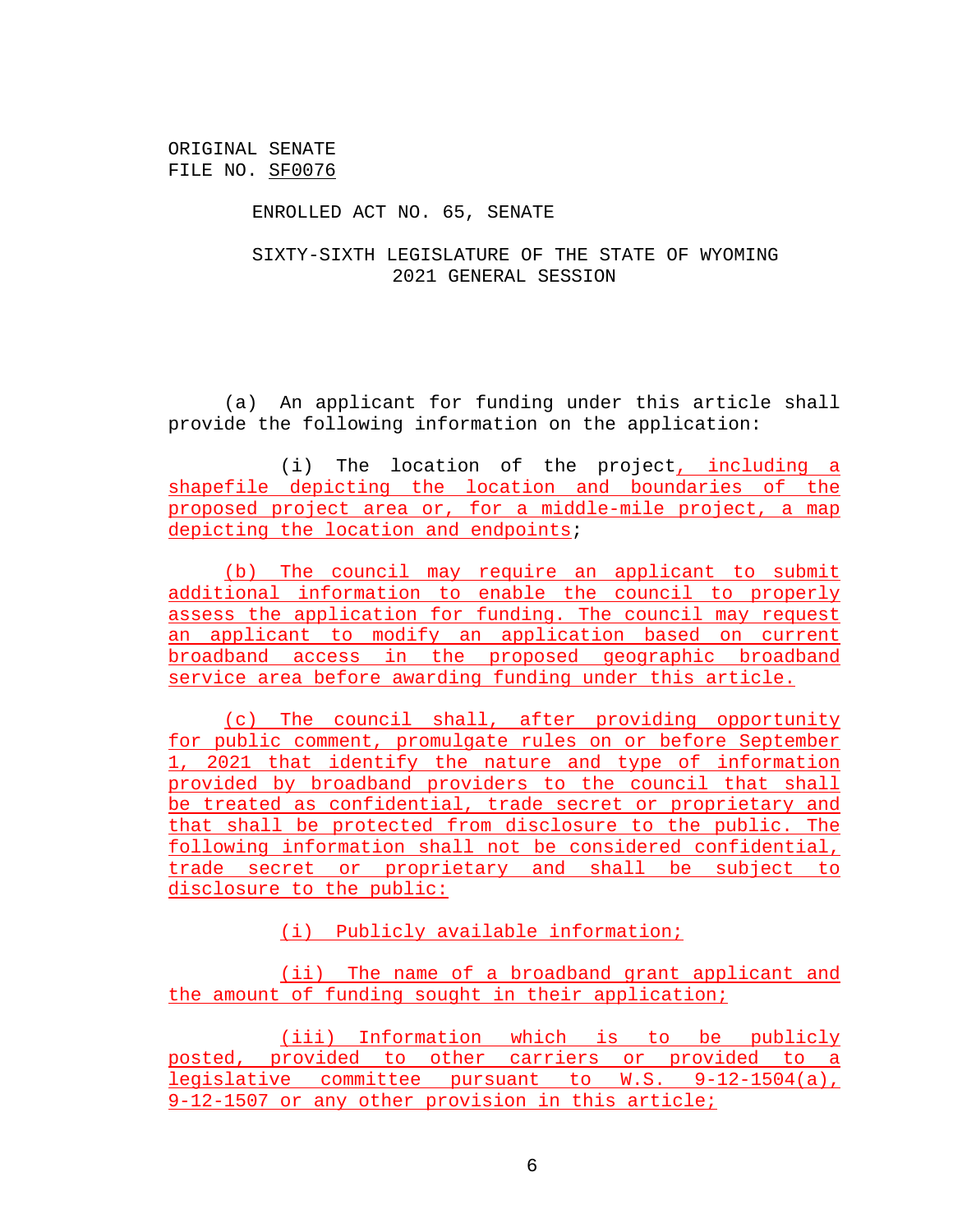### ENROLLED ACT NO. 65, SENATE

# SIXTY-SIXTH LEGISLATURE OF THE STATE OF WYOMING 2021 GENERAL SESSION

(a) An applicant for funding under this article shall provide the following information on the application:

(i) The location of the project, including a shapefile depicting the location and boundaries of the proposed project area or, for a middle-mile project, a map depicting the location and endpoints;

(b) The council may require an applicant to submit additional information to enable the council to properly assess the application for funding. The council may request an applicant to modify an application based on current broadband access in the proposed geographic broadband service area before awarding funding under this article.

(c) The council shall, after providing opportunity for public comment, promulgate rules on or before September 1, 2021 that identify the nature and type of information provided by broadband providers to the council that shall be treated as confidential, trade secret or proprietary and that shall be protected from disclosure to the public. The following information shall not be considered confidential, trade secret or proprietary and shall be subject to disclosure to the public:

(i) Publicly available information;

(ii) The name of a broadband grant applicant and the amount of funding sought in their application;

(iii) Information which is to be publicly posted, provided to other carriers or provided to a legislative committee pursuant to W.S. 9-12-1504(a), 9-12-1507 or any other provision in this article;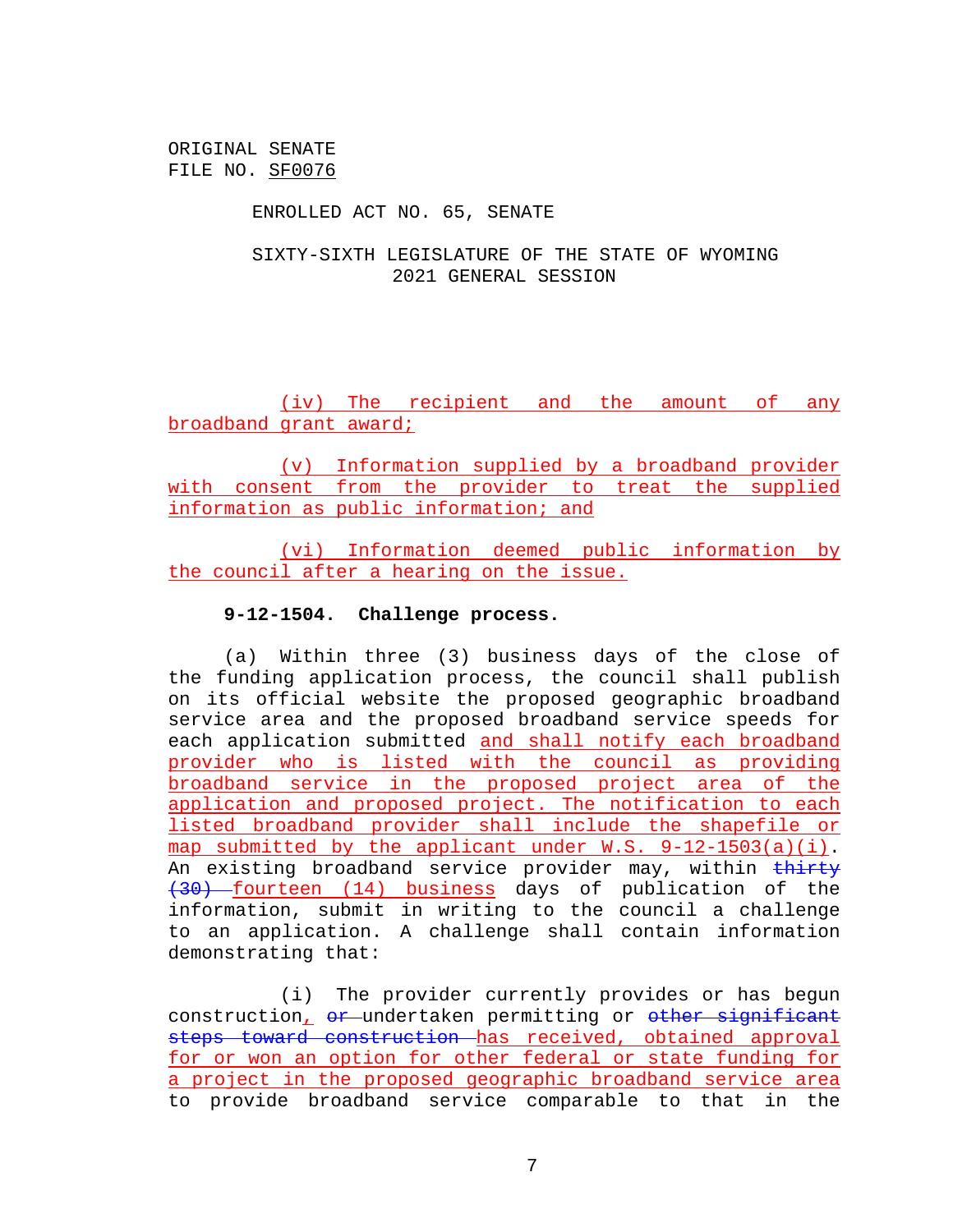### ENROLLED ACT NO. 65, SENATE

# SIXTY-SIXTH LEGISLATURE OF THE STATE OF WYOMING 2021 GENERAL SESSION

(iv) The recipient and the amount of any broadband grant award;

(v) Information supplied by a broadband provider with consent from the provider to treat the supplied information as public information; and

(vi) Information deemed public information by the council after a hearing on the issue.

### **9-12-1504. Challenge process.**

(a) Within three (3) business days of the close of the funding application process, the council shall publish on its official website the proposed geographic broadband service area and the proposed broadband service speeds for each application submitted and shall notify each broadband provider who is listed with the council as providing broadband service in the proposed project area of the application and proposed project. The notification to each listed broadband provider shall include the shapefile or map submitted by the applicant under W.S. 9-12-1503(a)(i). An existing broadband service provider may, within thirty (30) fourteen (14) business days of publication of the information, submit in writing to the council a challenge to an application. A challenge shall contain information demonstrating that:

(i) The provider currently provides or has begun construction, or undertaken permitting or other significant steps toward construction has received, obtained approval for or won an option for other federal or state funding for a project in the proposed geographic broadband service area to provide broadband service comparable to that in the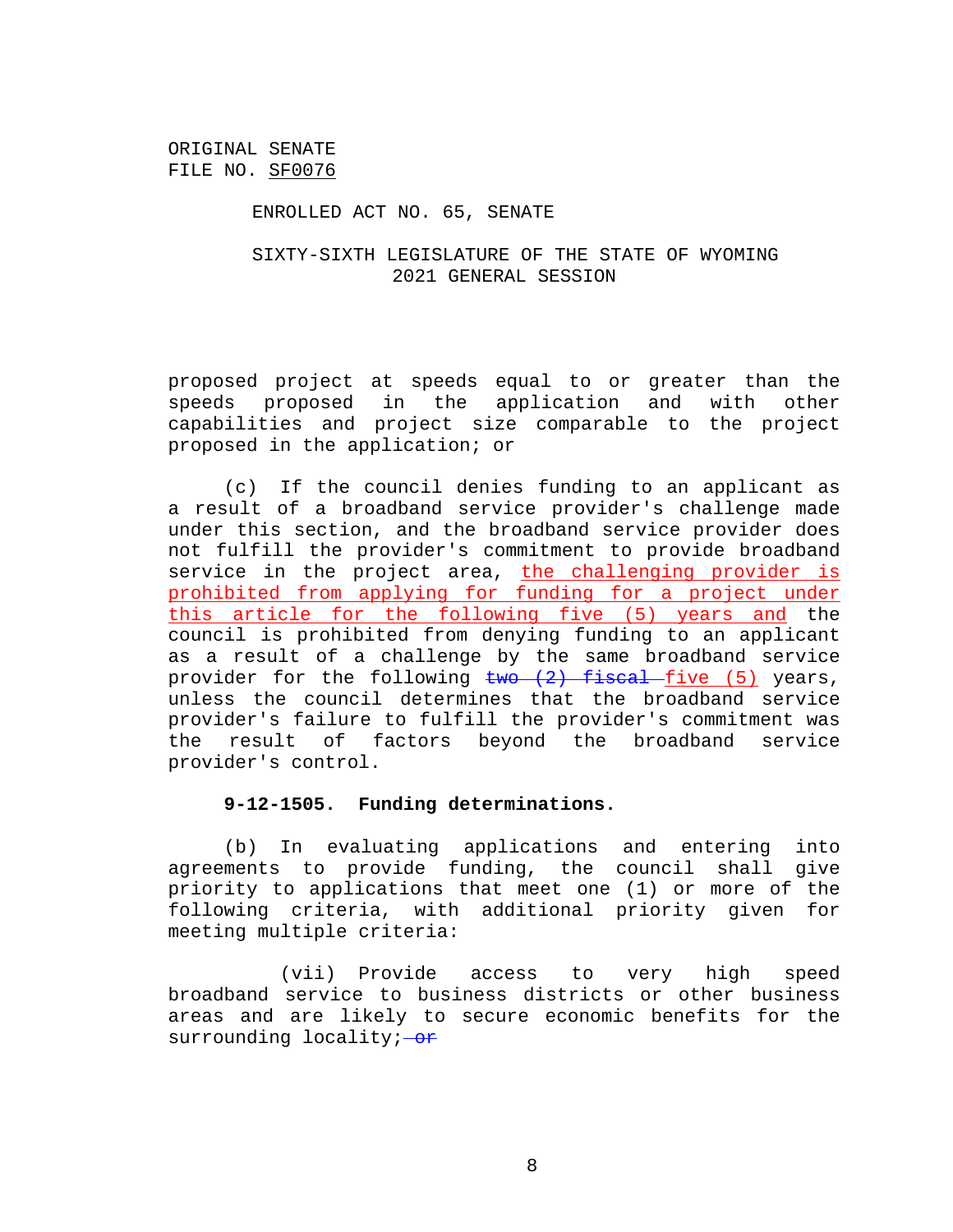### ENROLLED ACT NO. 65, SENATE

# SIXTY-SIXTH LEGISLATURE OF THE STATE OF WYOMING 2021 GENERAL SESSION

proposed project at speeds equal to or greater than the speeds proposed in the application and with other capabilities and project size comparable to the project proposed in the application; or

(c) If the council denies funding to an applicant as a result of a broadband service provider's challenge made under this section, and the broadband service provider does not fulfill the provider's commitment to provide broadband service in the project area, the challenging provider is prohibited from applying for funding for a project under this article for the following five (5) years and the council is prohibited from denying funding to an applicant as a result of a challenge by the same broadband service provider for the following  $\frac{1}{2}$  fiscal five (5) years, unless the council determines that the broadband service provider's failure to fulfill the provider's commitment was the result of factors beyond the broadband service provider's control.

### **9-12-1505. Funding determinations.**

(b) In evaluating applications and entering into agreements to provide funding, the council shall give priority to applications that meet one (1) or more of the following criteria, with additional priority given for meeting multiple criteria:

(vii) Provide access to very high speed broadband service to business districts or other business areas and are likely to secure economic benefits for the surrounding locality; $-\theta$ F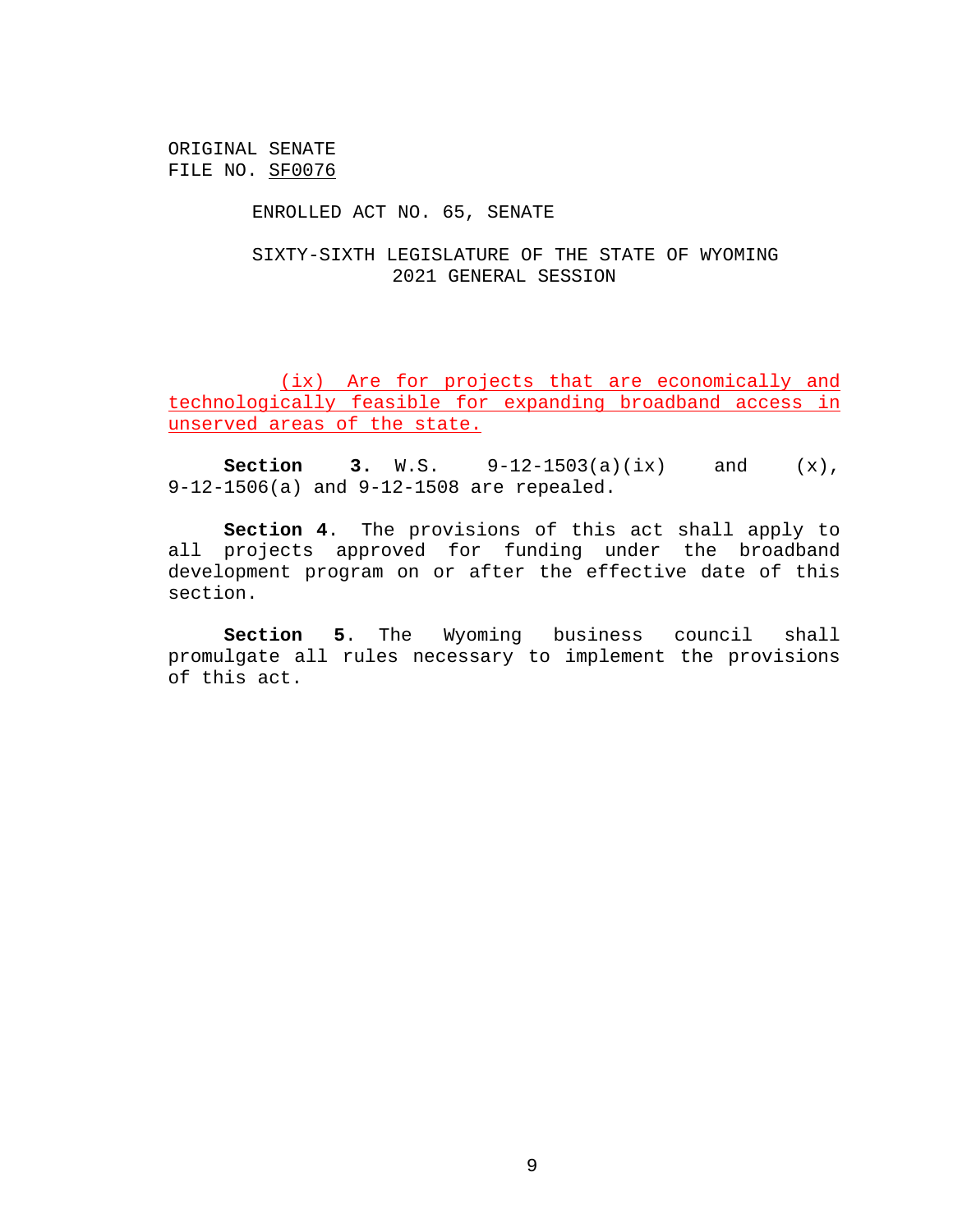### ENROLLED ACT NO. 65, SENATE

# SIXTY-SIXTH LEGISLATURE OF THE STATE OF WYOMING 2021 GENERAL SESSION

(ix) Are for projects that are economically and technologically feasible for expanding broadband access in unserved areas of the state.

**Section 3.** W.S. 9-12-1503(a)(ix) and (x), 9-12-1506(a) and 9-12-1508 are repealed.

**Section 4**. The provisions of this act shall apply to all projects approved for funding under the broadband development program on or after the effective date of this section.

**Section 5**. The Wyoming business council shall promulgate all rules necessary to implement the provisions of this act.